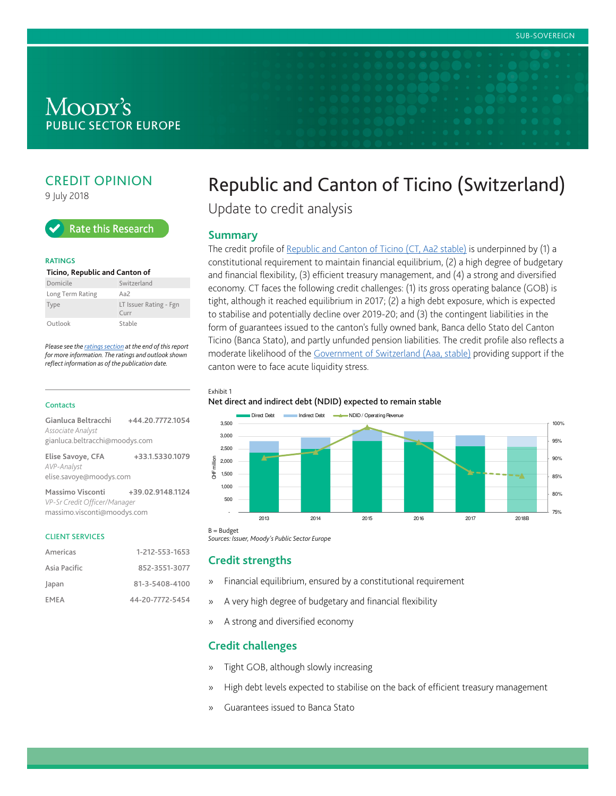## Moody's **PUBLIC SECTOR EUROPE**

## CREDIT OPINION

9 July 2018



#### **RATINGS**

| Ticino, Republic and Canton of |                                                  |  |  |
|--------------------------------|--------------------------------------------------|--|--|
| Domicile                       | Switzerland                                      |  |  |
| Long Term Rating               | Aa $\overline{2}$                                |  |  |
| Type                           | LT Issuer Rating - Fgn<br>$C$ <sub>III</sub> $r$ |  |  |
| Outlook                        | Stable                                           |  |  |

Please see the [ratings section](#page-4-0) at the end of this report for more information. The ratings and outlook shown reflect information as of the publication date.

#### **Contacts**

| +44.20.7772.1054               |
|--------------------------------|
|                                |
| gianluca.beltracchi@moodys.com |
| +33.1.5330.1079                |
| elise.savoye@moodys.com        |
|                                |

**Massimo Visconti +39.02.9148.1124** VP-Sr Credit Officer/Manager massimo.visconti@moodys.com

#### CLIENT SERVICES

| Americas     | 1-212-553-1653  |
|--------------|-----------------|
| Asia Pacific | 852-3551-3077   |
| Japan        | 81-3-5408-4100  |
| EMEA         | 44-20-7772-5454 |

## Republic and Canton of Ticino (Switzerland)

Update to credit analysis

#### **Summary**

The credit profile of [Republic and Canton of Ticino \(CT, Aa2 stable\)](https://www.moodys.com/credit-ratings/Ticino-Republic-and-Canton-of-credit-rating-600038487) is underpinned by (1) a constitutional requirement to maintain financial equilibrium, (2) a high degree of budgetary and financial flexibility, (3) efficient treasury management, and (4) a strong and diversified economy. CT faces the following credit challenges: (1) its gross operating balance (GOB) is tight, although it reached equilibrium in 2017; (2) a high debt exposure, which is expected to stabilise and potentially decline over 2019-20; and (3) the contingent liabilities in the form of guarantees issued to the canton's fully owned bank, Banca dello Stato del Canton Ticino (Banca Stato), and partly unfunded pension liabilities. The credit profile also reflects a moderate likelihood of the [Government of Switzerland \(Aaa, stable\)](https://www.moodys.com/credit-ratings/Switzerland-Government-of-credit-rating-731810) providing support if the canton were to face acute liquidity stress.

Exhibit 1

#### Net direct and indirect debt (NDID) expected to remain stable



Sources: Issuer, Moody's Public Sector Europe

#### **Credit strengths**

- » Financial equilibrium, ensured by a constitutional requirement
- » A very high degree of budgetary and financial flexibility
- » A strong and diversified economy

#### **Credit challenges**

- » Tight GOB, although slowly increasing
- » High debt levels expected to stabilise on the back of efficient treasury management
- » Guarantees issued to Banca Stato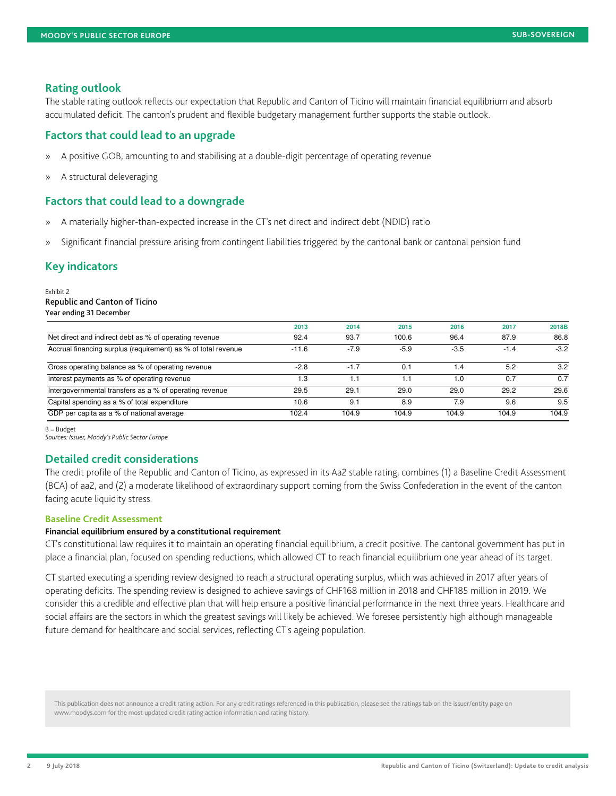#### **Rating outlook**

The stable rating outlook reflects our expectation that Republic and Canton of Ticino will maintain financial equilibrium and absorb accumulated deficit. The canton's prudent and flexible budgetary management further supports the stable outlook.

#### **Factors that could lead to an upgrade**

- » A positive GOB, amounting to and stabilising at a double-digit percentage of operating revenue
- » A structural deleveraging

#### **Factors that could lead to a downgrade**

- » A materially higher-than-expected increase in the CT's net direct and indirect debt (NDID) ratio
- » Significant financial pressure arising from contingent liabilities triggered by the cantonal bank or cantonal pension fund

#### **Key indicators**

Exhibit 2 Republic and Canton of Ticino Year ending 31 December

|                                                               | 2013    | 2014   | 2015   | 2016     | 2017   | 2018B  |
|---------------------------------------------------------------|---------|--------|--------|----------|--------|--------|
| Net direct and indirect debt as % of operating revenue        | 92.4    | 93.7   | 100.6  | 96.4     | 87.9   | 86.8   |
| Accrual financing surplus (requirement) as % of total revenue | $-11.6$ | $-7.9$ | $-5.9$ | $-3.5$   | $-1.4$ | $-3.2$ |
| Gross operating balance as % of operating revenue             | $-2.8$  | $-1.7$ | 0.1    | $\cdot$  | 5.2    | 3.2    |
| Interest payments as % of operating revenue                   | 1.3     | ا: ا   | 1.1    | $\Omega$ | 0.7    | 0.7    |
| Intergovernmental transfers as a % of operating revenue       | 29.5    | 29.1   | 29.0   | 29.0     | 29.2   | 29.6   |
| Capital spending as a % of total expenditure                  | 10.6    | 9.1    | 8.9    | 7.9      | 9.6    | 9.5    |
| GDP per capita as a % of national average                     | 102.4   | 104.9  | 104.9  | 104.9    | 104.9  | 104.9  |

B = Budget

Sources: Issuer, Moody's Public Sector Europe

#### **Detailed credit considerations**

The credit profile of the Republic and Canton of Ticino, as expressed in its Aa2 stable rating, combines (1) a Baseline Credit Assessment (BCA) of aa2, and (2) a moderate likelihood of extraordinary support coming from the Swiss Confederation in the event of the canton facing acute liquidity stress.

#### **Baseline Credit Assessment**

#### **Financial equilibrium ensured by a constitutional requirement**

CT's constitutional law requires it to maintain an operating financial equilibrium, a credit positive. The cantonal government has put in place a financial plan, focused on spending reductions, which allowed CT to reach financial equilibrium one year ahead of its target.

CT started executing a spending review designed to reach a structural operating surplus, which was achieved in 2017 after years of operating deficits. The spending review is designed to achieve savings of CHF168 million in 2018 and CHF185 million in 2019. We consider this a credible and effective plan that will help ensure a positive financial performance in the next three years. Healthcare and social affairs are the sectors in which the greatest savings will likely be achieved. We foresee persistently high although manageable future demand for healthcare and social services, reflecting CT's ageing population.

This publication does not announce a credit rating action. For any credit ratings referenced in this publication, please see the ratings tab on the issuer/entity page on www.moodys.com for the most updated credit rating action information and rating history.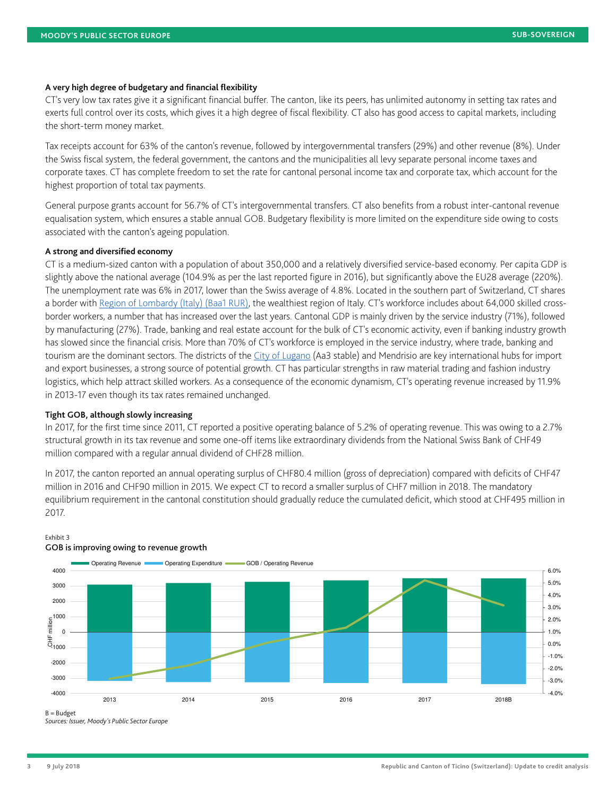#### **A very high degree of budgetary and financial flexibility**

CT's very low tax rates give it a significant financial buffer. The canton, like its peers, has unlimited autonomy in setting tax rates and exerts full control over its costs, which gives it a high degree of fiscal flexibility. CT also has good access to capital markets, including the short-term money market.

Tax receipts account for 63% of the canton's revenue, followed by intergovernmental transfers (29%) and other revenue (8%). Under the Swiss fiscal system, the federal government, the cantons and the municipalities all levy separate personal income taxes and corporate taxes. CT has complete freedom to set the rate for cantonal personal income tax and corporate tax, which account for the highest proportion of total tax payments.

General purpose grants account for 56.7% of CT's intergovernmental transfers. CT also benefits from a robust inter-cantonal revenue equalisation system, which ensures a stable annual GOB. Budgetary flexibility is more limited on the expenditure side owing to costs associated with the canton's ageing population.

#### **A strong and diversified economy**

CT is a medium-sized canton with a population of about 350,000 and a relatively diversified service-based economy. Per capita GDP is slightly above the national average (104.9% as per the last reported figure in 2016), but significantly above the EU28 average (220%). The unemployment rate was 6% in 2017, lower than the Swiss average of 4.8%. Located in the southern part of Switzerland, CT shares a border with [Region of Lombardy \(Italy\) \(Baa1 RUR\),](https://www.moodys.com/credit-ratings/Lombardy-Region-of-credit-rating-600049243) the wealthiest region of Italy. CT's workforce includes about 64,000 skilled crossborder workers, a number that has increased over the last years. Cantonal GDP is mainly driven by the service industry (71%), followed by manufacturing (27%). Trade, banking and real estate account for the bulk of CT's economic activity, even if banking industry growth has slowed since the financial crisis. More than 70% of CT's workforce is employed in the service industry, where trade, banking and tourism are the dominant sectors. The districts of the [City of Lugano](https://www.moodys.com/credit-ratings/Lugano-City-of-credit-rating-600017677) (Aa3 stable) and Mendrisio are key international hubs for import and export businesses, a strong source of potential growth. CT has particular strengths in raw material trading and fashion industry logistics, which help attract skilled workers. As a consequence of the economic dynamism, CT's operating revenue increased by 11.9% in 2013-17 even though its tax rates remained unchanged.

#### **Tight GOB, although slowly increasing**

In 2017, for the first time since 2011, CT reported a positive operating balance of 5.2% of operating revenue. This was owing to a 2.7% structural growth in its tax revenue and some one-off items like extraordinary dividends from the National Swiss Bank of CHF49 million compared with a regular annual dividend of CHF28 million.

In 2017, the canton reported an annual operating surplus of CHF80.4 million (gross of depreciation) compared with deficits of CHF47 million in 2016 and CHF90 million in 2015. We expect CT to record a smaller surplus of CHF7 million in 2018. The mandatory equilibrium requirement in the cantonal constitution should gradually reduce the cumulated deficit, which stood at CHF495 million in 2017.



#### Exhibit 3 GOB is improving owing to revenue growth

Sources: Issuer, Moody's Public Sector Europe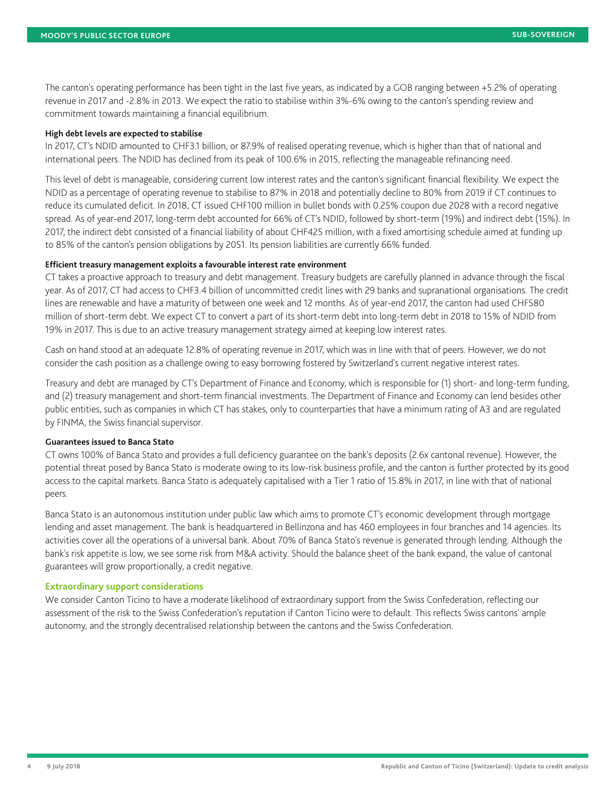The canton's operating performance has been tight in the last five years, as indicated by a GOB ranging between +5.2% of operating revenue in 2017 and -2.8% in 2013. We expect the ratio to stabilise within 3%-6% owing to the canton's spending review and commitment towards maintaining a financial equilibrium.

#### **High debt levels are expected to stabilise**

In 2017, CT's NDID amounted to CHF3.1 billion, or 87.9% of realised operating revenue, which is higher than that of national and international peers. The NDID has declined from its peak of 100.6% in 2015, reflecting the manageable refinancing need.

This level of debt is manageable, considering current low interest rates and the canton's significant financial flexibility. We expect the NDID as a percentage of operating revenue to stabilise to 87% in 2018 and potentially decline to 80% from 2019 if CT continues to reduce its cumulated deficit. In 2018, CT issued CHF100 million in bullet bonds with 0.25% coupon due 2028 with a record negative spread. As of year-end 2017, long-term debt accounted for 66% of CT's NDID, followed by short-term (19%) and indirect debt (15%). In 2017, the indirect debt consisted of a financial liability of about CHF425 million, with a fixed amortising schedule aimed at funding up to 85% of the canton's pension obligations by 2051. Its pension liabilities are currently 66% funded.

#### **Efficient treasury management exploits a favourable interest rate environment**

CT takes a proactive approach to treasury and debt management. Treasury budgets are carefully planned in advance through the fiscal year. As of 2017, CT had access to CHF3.4 billion of uncommitted credit lines with 29 banks and supranational organisations. The credit lines are renewable and have a maturity of between one week and 12 months. As of year-end 2017, the canton had used CHF580 million of short-term debt. We expect CT to convert a part of its short-term debt into long-term debt in 2018 to 15% of NDID from 19% in 2017. This is due to an active treasury management strategy aimed at keeping low interest rates.

Cash on hand stood at an adequate 12.8% of operating revenue in 2017, which was in line with that of peers. However, we do not consider the cash position as a challenge owing to easy borrowing fostered by Switzerland's current negative interest rates.

Treasury and debt are managed by CT's Department of Finance and Economy, which is responsible for (1) short- and long-term funding, and (2) treasury management and short-term financial investments. The Department of Finance and Economy can lend besides other public entities, such as companies in which CT has stakes, only to counterparties that have a minimum rating of A3 and are regulated by FINMA, the Swiss financial supervisor.

#### **Guarantees issued to Banca Stato**

CT owns 100% of Banca Stato and provides a full deficiency guarantee on the bank's deposits (2.6x cantonal revenue). However, the potential threat posed by Banca Stato is moderate owing to its low-risk business profile, and the canton is further protected by its good access to the capital markets. Banca Stato is adequately capitalised with a Tier 1 ratio of 15.8% in 2017, in line with that of national peers.

Banca Stato is an autonomous institution under public law which aims to promote CT's economic development through mortgage lending and asset management. The bank is headquartered in Bellinzona and has 460 employees in four branches and 14 agencies. Its activities cover all the operations of a universal bank. About 70% of Banca Stato's revenue is generated through lending. Although the bank's risk appetite is low, we see some risk from M&A activity. Should the balance sheet of the bank expand, the value of cantonal guarantees will grow proportionally, a credit negative.

#### **Extraordinary support considerations**

We consider Canton Ticino to have a moderate likelihood of extraordinary support from the Swiss Confederation, reflecting our assessment of the risk to the Swiss Confederation's reputation if Canton Ticino were to default. This reflects Swiss cantons' ample autonomy, and the strongly decentralised relationship between the cantons and the Swiss Confederation.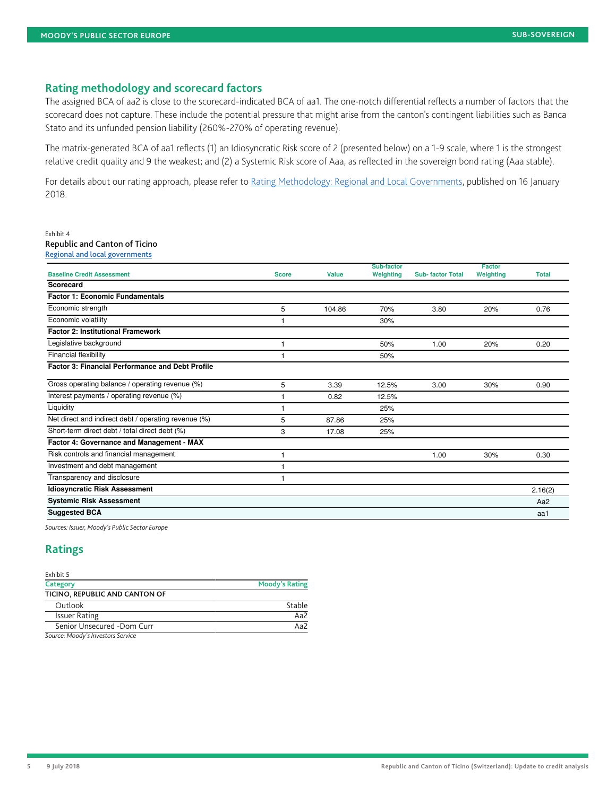#### **Rating methodology and scorecard factors**

The assigned BCA of aa2 is close to the scorecard-indicated BCA of aa1. The one-notch differential reflects a number of factors that the scorecard does not capture. These include the potential pressure that might arise from the canton's contingent liabilities such as Banca Stato and its unfunded pension liability (260%-270% of operating revenue).

The matrix-generated BCA of aa1 reflects (1) an Idiosyncratic Risk score of 2 (presented below) on a 1-9 scale, where 1 is the strongest relative credit quality and 9 the weakest; and (2) a Systemic Risk score of Aaa, as reflected in the sovereign bond rating (Aaa stable).

For details about our rating approach, please refer to [Rating Methodology: Regional and Local Governments,](https://www.moodys.com/researchdocumentcontentpage.aspx?docid=PBC_1091595) published on 16 January 2018.

#### Exhibit 4

Republic and Canton of Ticino [Regional and local governments](https://www.moodys.com/researchdocumentcontentpage.aspx?docid=PBC_1091595)

|                                                         |              |        | Sub-factor |                         | <b>Factor</b> |                 |
|---------------------------------------------------------|--------------|--------|------------|-------------------------|---------------|-----------------|
| <b>Baseline Credit Assessment</b>                       | <b>Score</b> | Value  | Weighting  | <b>Sub-factor Total</b> | Weighting     | <b>Total</b>    |
| Scorecard                                               |              |        |            |                         |               |                 |
| <b>Factor 1: Economic Fundamentals</b>                  |              |        |            |                         |               |                 |
| Economic strength                                       | 5            | 104.86 | 70%        | 3.80                    | 20%           | 0.76            |
| Economic volatility                                     |              |        | 30%        |                         |               |                 |
| <b>Factor 2: Institutional Framework</b>                |              |        |            |                         |               |                 |
| Legislative background                                  |              |        | 50%        | 1.00                    | 20%           | 0.20            |
| Financial flexibility                                   |              |        | 50%        |                         |               |                 |
| <b>Factor 3: Financial Performance and Debt Profile</b> |              |        |            |                         |               |                 |
| Gross operating balance / operating revenue (%)         | 5            | 3.39   | 12.5%      | 3.00                    | 30%           | 0.90            |
| Interest payments / operating revenue (%)               |              | 0.82   | 12.5%      |                         |               |                 |
| Liquidity                                               |              |        | 25%        |                         |               |                 |
| Net direct and indirect debt / operating revenue (%)    | 5            | 87.86  | 25%        |                         |               |                 |
| Short-term direct debt / total direct debt (%)          | 3            | 17.08  | 25%        |                         |               |                 |
| Factor 4: Governance and Management - MAX               |              |        |            |                         |               |                 |
| Risk controls and financial management                  |              |        |            | 1.00                    | 30%           | 0.30            |
| Investment and debt management                          |              |        |            |                         |               |                 |
| Transparency and disclosure                             |              |        |            |                         |               |                 |
| <b>Idiosyncratic Risk Assessment</b>                    |              |        |            |                         |               | 2.16(2)         |
| <b>Systemic Risk Assessment</b>                         |              |        |            |                         |               | Aa <sub>2</sub> |
| <b>Suggested BCA</b>                                    |              |        |            |                         |               | aa1             |
|                                                         |              |        |            |                         |               |                 |

Sources: Issuer, Moody's Public Sector Europe

### <span id="page-4-0"></span>**Ratings**

| Exhibit 5                         |                       |
|-----------------------------------|-----------------------|
| Category                          | <b>Moody's Rating</b> |
| TICINO, REPUBLIC AND CANTON OF    |                       |
| Outlook                           | Stable                |
| <b>Issuer Rating</b>              | Aa2                   |
| Senior Unsecured -Dom Curr        | Aa $\overline{2}$     |
| Course, Moodu's Investors Convice |                       |

Source: Moody's Investors Service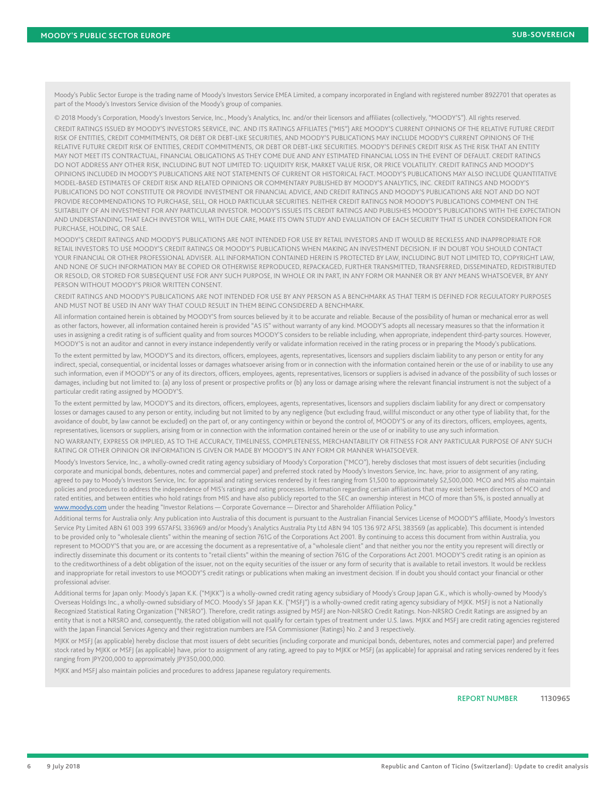Moody's Public Sector Europe is the trading name of Moody's Investors Service EMEA Limited, a company incorporated in England with registered number 8922701 that operates as part of the Moody's Investors Service division of the Moody's group of companies.

© 2018 Moody's Corporation, Moody's Investors Service, Inc., Moody's Analytics, Inc. and/or their licensors and affiliates (collectively, "MOODY'S"). All rights reserved. CREDIT RATINGS ISSUED BY MOODY'S INVESTORS SERVICE, INC. AND ITS RATINGS AFFILIATES ("MIS") ARE MOODY'S CURRENT OPINIONS OF THE RELATIVE FUTURE CREDIT RISK OF ENTITIES, CREDIT COMMITMENTS, OR DEBT OR DEBT-LIKE SECURITIES, AND MOODY'S PUBLICATIONS MAY INCLUDE MOODY'S CURRENT OPINIONS OF THE RELATIVE FUTURE CREDIT RISK OF ENTITIES, CREDIT COMMITMENTS, OR DEBT OR DEBT-LIKE SECURITIES. MOODY'S DEFINES CREDIT RISK AS THE RISK THAT AN ENTITY MAY NOT MEET ITS CONTRACTUAL, FINANCIAL OBLIGATIONS AS THEY COME DUE AND ANY ESTIMATED FINANCIAL LOSS IN THE EVENT OF DEFAULT. CREDIT RATINGS DO NOT ADDRESS ANY OTHER RISK, INCLUDING BUT NOT LIMITED TO: LIQUIDITY RISK, MARKET VALUE RISK, OR PRICE VOLATILITY. CREDIT RATINGS AND MOODY'S OPINIONS INCLUDED IN MOODY'S PUBLICATIONS ARE NOT STATEMENTS OF CURRENT OR HISTORICAL FACT. MOODY'S PUBLICATIONS MAY ALSO INCLUDE QUANTITATIVE MODEL-BASED ESTIMATES OF CREDIT RISK AND RELATED OPINIONS OR COMMENTARY PUBLISHED BY MOODY'S ANALYTICS, INC. CREDIT RATINGS AND MOODY'S PUBLICATIONS DO NOT CONSTITUTE OR PROVIDE INVESTMENT OR FINANCIAL ADVICE, AND CREDIT RATINGS AND MOODY'S PUBLICATIONS ARE NOT AND DO NOT PROVIDE RECOMMENDATIONS TO PURCHASE, SELL, OR HOLD PARTICULAR SECURITIES. NEITHER CREDIT RATINGS NOR MOODY'S PUBLICATIONS COMMENT ON THE SUITABILITY OF AN INVESTMENT FOR ANY PARTICULAR INVESTOR. MOODY'S ISSUES ITS CREDIT RATINGS AND PUBLISHES MOODY'S PUBLICATIONS WITH THE EXPECTATION AND UNDERSTANDING THAT EACH INVESTOR WILL, WITH DUE CARE, MAKE ITS OWN STUDY AND EVALUATION OF EACH SECURITY THAT IS UNDER CONSIDERATION FOR PURCHASE, HOLDING, OR SALE.

MOODY'S CREDIT RATINGS AND MOODY'S PUBLICATIONS ARE NOT INTENDED FOR USE BY RETAIL INVESTORS AND IT WOULD BE RECKLESS AND INAPPROPRIATE FOR RETAIL INVESTORS TO USE MOODY'S CREDIT RATINGS OR MOODY'S PUBLICATIONS WHEN MAKING AN INVESTMENT DECISION. IF IN DOUBT YOU SHOULD CONTACT YOUR FINANCIAL OR OTHER PROFESSIONAL ADVISER. ALL INFORMATION CONTAINED HEREIN IS PROTECTED BY LAW, INCLUDING BUT NOT LIMITED TO, COPYRIGHT LAW, AND NONE OF SUCH INFORMATION MAY BE COPIED OR OTHERWISE REPRODUCED, REPACKAGED, FURTHER TRANSMITTED, TRANSFERRED, DISSEMINATED, REDISTRIBUTED OR RESOLD, OR STORED FOR SUBSEQUENT USE FOR ANY SUCH PURPOSE, IN WHOLE OR IN PART, IN ANY FORM OR MANNER OR BY ANY MEANS WHATSOEVER, BY ANY PERSON WITHOUT MOODY'S PRIOR WRITTEN CONSENT.

CREDIT RATINGS AND MOODY'S PUBLICATIONS ARE NOT INTENDED FOR USE BY ANY PERSON AS A BENCHMARK AS THAT TERM IS DEFINED FOR REGULATORY PURPOSES AND MUST NOT BE USED IN ANY WAY THAT COULD RESULT IN THEM BEING CONSIDERED A BENCHMARK.

All information contained herein is obtained by MOODY'S from sources believed by it to be accurate and reliable. Because of the possibility of human or mechanical error as well as other factors, however, all information contained herein is provided "AS IS" without warranty of any kind. MOODY'S adopts all necessary measures so that the information it uses in assigning a credit rating is of sufficient quality and from sources MOODY'S considers to be reliable including, when appropriate, independent third-party sources. However, MOODY'S is not an auditor and cannot in every instance independently verify or validate information received in the rating process or in preparing the Moody's publications.

To the extent permitted by law, MOODY'S and its directors, officers, employees, agents, representatives, licensors and suppliers disclaim liability to any person or entity for any indirect, special, consequential, or incidental losses or damages whatsoever arising from or in connection with the information contained herein or the use of or inability to use any such information, even if MOODY'S or any of its directors, officers, employees, agents, representatives, licensors or suppliers is advised in advance of the possibility of such losses or damages, including but not limited to: (a) any loss of present or prospective profits or (b) any loss or damage arising where the relevant financial instrument is not the subject of a particular credit rating assigned by MOODY'S.

To the extent permitted by law, MOODY'S and its directors, officers, employees, agents, representatives, licensors and suppliers disclaim liability for any direct or compensatory losses or damages caused to any person or entity, including but not limited to by any negligence (but excluding fraud, willful misconduct or any other type of liability that, for the avoidance of doubt, by law cannot be excluded) on the part of, or any contingency within or beyond the control of, MOODY'S or any of its directors, officers, employees, agents, representatives, licensors or suppliers, arising from or in connection with the information contained herein or the use of or inability to use any such information.

NO WARRANTY, EXPRESS OR IMPLIED, AS TO THE ACCURACY, TIMELINESS, COMPLETENESS, MERCHANTABILITY OR FITNESS FOR ANY PARTICULAR PURPOSE OF ANY SUCH RATING OR OTHER OPINION OR INFORMATION IS GIVEN OR MADE BY MOODY'S IN ANY FORM OR MANNER WHATSOEVER.

Moody's Investors Service, Inc., a wholly-owned credit rating agency subsidiary of Moody's Corporation ("MCO"), hereby discloses that most issuers of debt securities (including corporate and municipal bonds, debentures, notes and commercial paper) and preferred stock rated by Moody's Investors Service, Inc. have, prior to assignment of any rating, agreed to pay to Moody's Investors Service, Inc. for appraisal and rating services rendered by it fees ranging from \$1,500 to approximately \$2,500,000. MCO and MIS also maintain policies and procedures to address the independence of MIS's ratings and rating processes. Information regarding certain affiliations that may exist between directors of MCO and rated entities, and between entities who hold ratings from MIS and have also publicly reported to the SEC an ownership interest in MCO of more than 5%, is posted annually at [www.moodys.com](http://www.moodys.com) under the heading "Investor Relations — Corporate Governance — Director and Shareholder Affiliation Policy."

Additional terms for Australia only: Any publication into Australia of this document is pursuant to the Australian Financial Services License of MOODY'S affiliate, Moody's Investors Service Pty Limited ABN 61 003 399 657AFSL 336969 and/or Moody's Analytics Australia Pty Ltd ABN 94 105 136 972 AFSL 383569 (as applicable). This document is intended to be provided only to "wholesale clients" within the meaning of section 761G of the Corporations Act 2001. By continuing to access this document from within Australia, you represent to MOODY'S that you are, or are accessing the document as a representative of, a "wholesale client" and that neither you nor the entity you represent will directly or indirectly disseminate this document or its contents to "retail clients" within the meaning of section 761G of the Corporations Act 2001. MOODY'S credit rating is an opinion as to the creditworthiness of a debt obligation of the issuer, not on the equity securities of the issuer or any form of security that is available to retail investors. It would be reckless and inappropriate for retail investors to use MOODY'S credit ratings or publications when making an investment decision. If in doubt you should contact your financial or other professional adviser.

Additional terms for Japan only: Moody's Japan K.K. ("MJKK") is a wholly-owned credit rating agency subsidiary of Moody's Group Japan G.K., which is wholly-owned by Moody's Overseas Holdings Inc., a wholly-owned subsidiary of MCO. Moody's SF Japan K.K. ("MSFJ") is a wholly-owned credit rating agency subsidiary of MJKK. MSFJ is not a Nationally Recognized Statistical Rating Organization ("NRSRO"). Therefore, credit ratings assigned by MSFJ are Non-NRSRO Credit Ratings. Non-NRSRO Credit Ratings are assigned by an entity that is not a NRSRO and, consequently, the rated obligation will not qualify for certain types of treatment under U.S. laws. MJKK and MSFJ are credit rating agencies registered with the Japan Financial Services Agency and their registration numbers are FSA Commissioner (Ratings) No. 2 and 3 respectively.

MJKK or MSFJ (as applicable) hereby disclose that most issuers of debt securities (including corporate and municipal bonds, debentures, notes and commercial paper) and preferred stock rated by MJKK or MSFJ (as applicable) have, prior to assignment of any rating, agreed to pay to MJKK or MSFJ (as applicable) for appraisal and rating services rendered by it fees ranging from JPY200,000 to approximately JPY350,000,000.

MJKK and MSFJ also maintain policies and procedures to address Japanese regulatory requirements.

REPORT NUMBER **1130965**